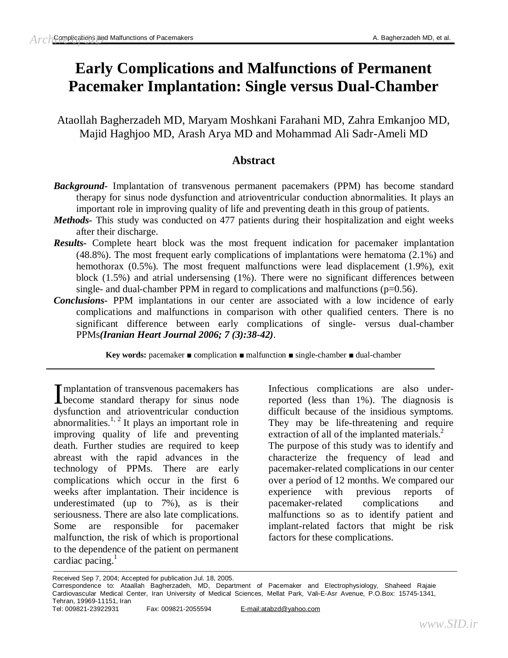# **Early Complications and Malfunctions of Permanent Pacemaker Implantation: Single versus Dual-Chamber**

Ataollah Bagherzadeh MD, Maryam Moshkani Farahani MD, Zahra Emkanjoo MD, Majid Haghjoo MD, Arash Arya MD and Mohammad Ali Sadr-Ameli MD

# **Abstract**

- *Background-* Implantation of transvenous permanent pacemakers (PPM) has become standard therapy for sinus node dysfunction and atrioventricular conduction abnormalities. It plays an important role in improving quality of life and preventing death in this group of patients.
- *Methods-* This study was conducted on 477 patients during their hospitalization and eight weeks after their discharge.
- *Results-* Complete heart block was the most frequent indication for pacemaker implantation (48.8%). The most frequent early complications of implantations were hematoma (2.1%) and hemothorax (0.5%). The most frequent malfunctions were lead displacement (1.9%), exit block (1.5%) and atrial undersensing (1%). There were no significant differences between single- and dual-chamber PPM in regard to complications and malfunctions  $(p=0.56)$ .
- *Conclusions-* PPM implantations in our center are associated with a low incidence of early complications and malfunctions in comparison with other qualified centers. There is no significant difference between early complications of single- versus dual-chamber PPMs*(Iranian Heart Journal 2006; 7 (3):38-42).*

**Key words:** pacemaker ■ complication ■ malfunction ■ single-chamber ■ dual-chamber

mplantation of transvenous pacemakers has Implantation of transvenous pacemakers has<br>become standard therapy for sinus node dysfunction and atrioventricular conduction abnormalities. $1, 2$  It plays an important role in improving quality of life and preventing death. Further studies are required to keep abreast with the rapid advances in the technology of PPMs. There are early complications which occur in the first 6 weeks after implantation. Their incidence is underestimated (up to 7%), as is their seriousness. There are also late complications. Some are responsible for pacemaker malfunction, the risk of which is proportional to the dependence of the patient on permanent cardiac pacing. 1

Infectious complications are also underreported (less than 1%). The diagnosis is difficult because of the insidious symptoms. They may be life-threatening and require extraction of all of the implanted materials.<sup>2</sup> The purpose of this study was to identify and characterize the frequency of lead and pacemaker-related complications in our center over a period of 12 months. We compared our experience with previous reports of pacemaker-related complications and malfunctions so as to identify patient and implant-related factors that might be risk factors for these complications.

Received Sep 7, 2004; Accepted for publication Jul. 18, 2005.

Correspondence to: Ataallah Bagherzadeh, MD, Department of Pacemaker and Electrophysiology, Shaheed Rajaie Cardiovascular Medical Center, Iran University of Medical Sciences, Mellat Park, Vali-E-Asr Avenue, P.O.Box: 15745-1341, Tehran, 19969-11151, Iran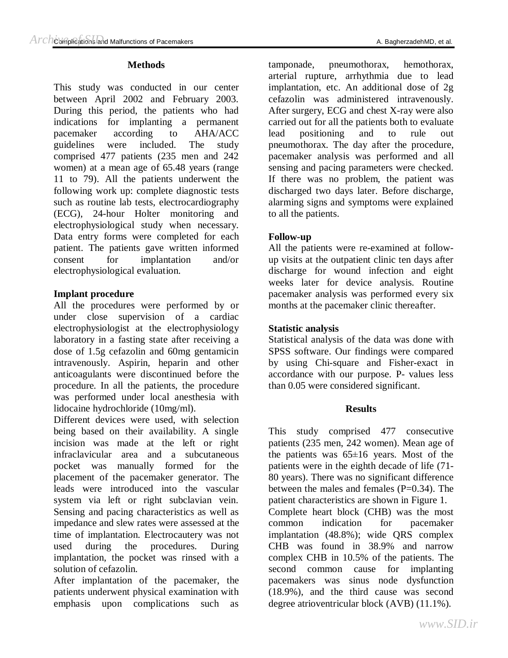#### **Methods**

This study was conducted in our center between April 2002 and February 2003. During this period, the patients who had indications for implanting a permanent pacemaker according to AHA/ACC guidelines were included. The study comprised 477 patients (235 men and 242 women) at a mean age of 65.48 years (range 11 to 79). All the patients underwent the following work up: complete diagnostic tests such as routine lab tests, electrocardiography (ECG), 24-hour Holter monitoring and electrophysiological study when necessary. Data entry forms were completed for each patient. The patients gave written informed consent for implantation and/or electrophysiological evaluation.

### **Implant procedure**

All the procedures were performed by or under close supervision of a cardiac electrophysiologist at the electrophysiology laboratory in a fasting state after receiving a dose of 1.5g cefazolin and 60mg gentamicin intravenously. Aspirin, heparin and other anticoagulants were discontinued before the procedure. In all the patients, the procedure was performed under local anesthesia with lidocaine hydrochloride (10mg/ml).

Different devices were used, with selection being based on their availability. A single incision was made at the left or right infraclavicular area and a subcutaneous pocket was manually formed for the placement of the pacemaker generator. The leads were introduced into the vascular system via left or right subclavian vein. Sensing and pacing characteristics as well as impedance and slew rates were assessed at the time of implantation. Electrocautery was not used during the procedures. During implantation, the pocket was rinsed with a solution of cefazolin.

After implantation of the pacemaker, the patients underwent physical examination with emphasis upon complications such as

tamponade, pneumothorax, hemothorax, arterial rupture, arrhythmia due to lead implantation, etc. An additional dose of 2g cefazolin was administered intravenously. After surgery, ECG and chest X-ray were also carried out for all the patients both to evaluate

lead positioning and to rule out pneumothorax. The day after the procedure, pacemaker analysis was performed and all sensing and pacing parameters were checked. If there was no problem, the patient was discharged two days later. Before discharge, alarming signs and symptoms were explained to all the patients.

#### **Follow-up**

All the patients were re-examined at followup visits at the outpatient clinic ten days after discharge for wound infection and eight weeks later for device analysis. Routine pacemaker analysis was performed every six months at the pacemaker clinic thereafter.

#### **Statistic analysis**

Statistical analysis of the data was done with SPSS software. Our findings were compared by using Chi-square and Fisher-exact in accordance with our purpose. P- values less than 0.05 were considered significant.

#### **Results**

This study comprised 477 consecutive patients (235 men, 242 women). Mean age of the patients was  $65\pm16$  years. Most of the patients were in the eighth decade of life (71- 80 years). There was no significant difference between the males and females  $(P=0.34)$ . The patient characteristics are shown in Figure 1. Complete heart block (CHB) was the most common indication for pacemaker implantation (48.8%); wide QRS complex CHB was found in 38.9% and narrow complex CHB in 10.5% of the patients. The second common cause for implanting pacemakers was sinus node dysfunction (18.9%), and the third cause was second degree atrioventricular block (AVB) (11.1%).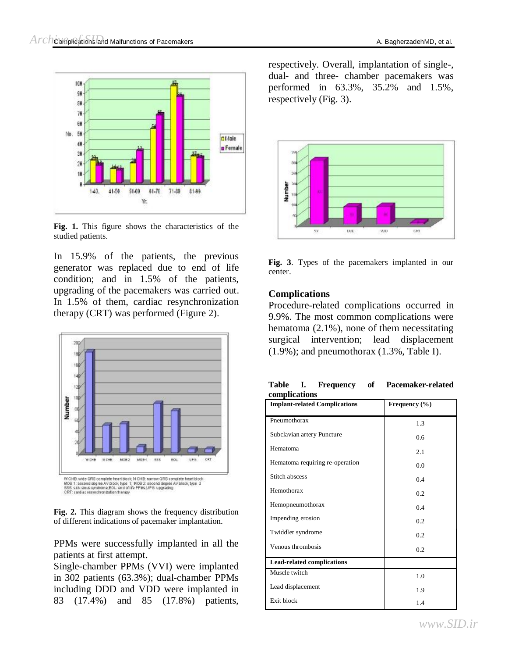



**Fig. 1.** This figure shows the characteristics of the studied patients.

In 15.9% of the patients, the previous generator was replaced due to end of life condition; and in 1.5% of the patients, upgrading of the pacemakers was carried out. In 1.5% of them, cardiac resynchronization therapy (CRT) was performed (Figure 2).



**Fig. 2.** This diagram shows the frequency distribution of different indications of pacemaker implantation.

PPMs were successfully implanted in all the patients at first attempt.

Single-chamber PPMs (VVI) were implanted in 302 patients (63.3%); dual-chamber PPMs including DDD and VDD were implanted in 83 (17.4%) and 85 (17.8%) patients,

respectively. Overall, implantation of single-, dual- and three- chamber pacemakers was performed in 63.3%, 35.2% and 1.5%, respectively (Fig. 3).



**Fig. 3**. Types of the pacemakers implanted in our center.

#### **Complications**

Procedure-related complications occurred in 9.9%. The most common complications were hematoma (2.1%), none of them necessitating surgical intervention; lead displacement  $(1.9\%)$ ; and pneumothorax  $(1.3\%$ , Table I).

| <b>Table</b>  |  | Frequency | -of | Pacemaker-related |
|---------------|--|-----------|-----|-------------------|
| complications |  |           |     |                   |

| сошрисаноиз<br><b>Implant-related Complications</b> | Frequency $(\% )$ |
|-----------------------------------------------------|-------------------|
| Pneumothorax                                        | 1.3               |
| Subclavian artery Puncture                          | 0.6               |
| Hematoma                                            | 2.1               |
| Hematoma requiring re-operation                     | 0.0               |
| Stitch abscess                                      | 0.4               |
| Hemothorax                                          | 0.2               |
| Hemopneumothorax                                    | 0.4               |
| Impending erosion                                   | 0.2               |
| Twiddler syndrome                                   | 0.2               |
| Venous thrombosis                                   | 0.2               |
| <b>Lead-related complications</b>                   |                   |
| Muscle twitch                                       | 1.0               |
| Lead displacement                                   | 1.9               |
| Exit block                                          | 1.4               |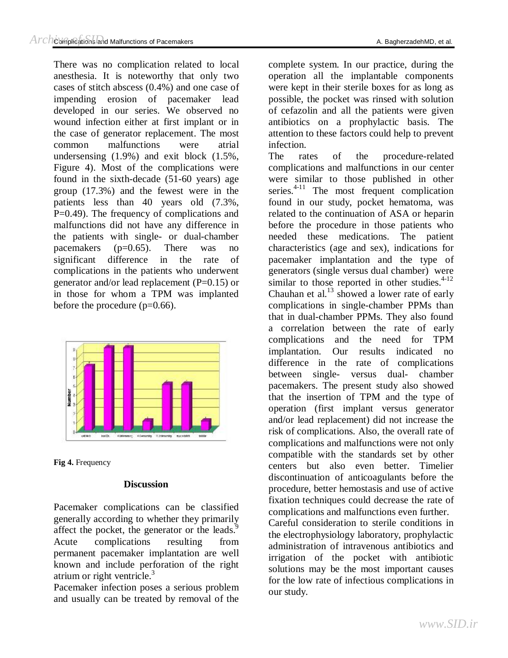There was no complication related to local anesthesia. It is noteworthy that only two cases of stitch abscess (0.4%) and one case of impending erosion of pacemaker lead developed in our series. We observed no wound infection either at first implant or in the case of generator replacement. The most common malfunctions were atrial undersensing (1.9%) and exit block (1.5%, Figure 4). Most of the complications were found in the sixth-decade (51-60 years) age group (17.3%) and the fewest were in the patients less than 40 years old (7.3%, P=0.49). The frequency of complications and malfunctions did not have any difference in the patients with single- or dual-chamber pacemakers ( $p=0.65$ ). There was no significant difference in the rate of complications in the patients who underwent generator and/or lead replacement (P=0.15) or in those for whom a TPM was implanted before the procedure  $(p=0.66)$ .



**Fig 4.** Frequency

## **Discussion**

Pacemaker complications can be classified generally according to whether they primarily affect the pocket, the generator or the leads.<sup>9</sup> Acute complications resulting from permanent pacemaker implantation are well known and include perforation of the right atrium or right ventricle. $3$ 

Pacemaker infection poses a serious problem and usually can be treated by removal of the

complete system. In our practice, during the operation all the implantable components were kept in their sterile boxes for as long as possible, the pocket was rinsed with solution of cefazolin and all the patients were given antibiotics on a prophylactic basis. The attention to these factors could help to prevent infection.

The rates of the procedure-related complications and malfunctions in our center were similar to those published in other series.<sup>4-11</sup> The most frequent complication found in our study, pocket hematoma, was related to the continuation of ASA or heparin before the procedure in those patients who needed these medications. The patient characteristics (age and sex), indications for pacemaker implantation and the type of generators (single versus dual chamber) were similar to those reported in other studies. $4-12$ Chauhan et al. $^{13}$  showed a lower rate of early complications in single-chamber PPMs than that in dual-chamber PPMs. They also found a correlation between the rate of early complications and the need for TPM implantation. Our results indicated no difference in the rate of complications between single- versus dual- chamber pacemakers. The present study also showed that the insertion of TPM and the type of operation (first implant versus generator and/or lead replacement) did not increase the risk of complications. Also, the overall rate of complications and malfunctions were not only compatible with the standards set by other centers but also even better. Timelier discontinuation of anticoagulants before the procedure, better hemostasis and use of active fixation techniques could decrease the rate of complications and malfunctions even further. Careful consideration to sterile conditions in the electrophysiology laboratory, prophylactic administration of intravenous antibiotics and irrigation of the pocket with antibiotic solutions may be the most important causes for the low rate of infectious complications in our study.